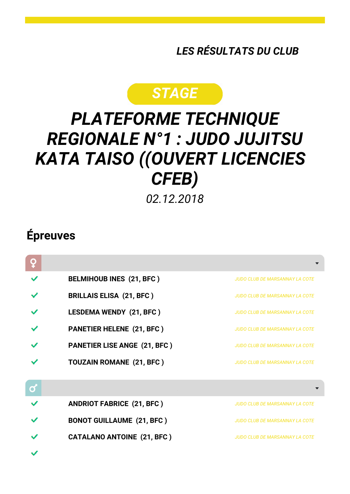*LES RÉSULTATS DU CLUB*

## *STAGE*

## *PLATEFORME TECHNIQUE REGIONALE N°1 : JUDO JUJITSU KATA TAISO ((OUVERT LICENCIES CFEB)*

*02.12.2018*

## **Épreuves**

|   | <b>BELMIHOUB INES (21, BFC)</b>     | <b>JUDO CLUB DE MARSANNAY LA COTE</b> |
|---|-------------------------------------|---------------------------------------|
|   | <b>BRILLAIS ELISA (21, BFC)</b>     | <b>JUDO CLUB DE MARSANNAY LA COTE</b> |
|   | <b>LESDEMA WENDY (21, BFC)</b>      | <b>JUDO CLUB DE MARSANNAY LA COTE</b> |
|   | <b>PANETIER HELENE (21, BFC)</b>    | <b>JUDO CLUB DE MARSANNAY LA COTE</b> |
|   | <b>PANETIER LISE ANGE (21, BFC)</b> | <b>JUDO CLUB DE MARSANNAY LA COTE</b> |
|   | <b>TOUZAIN ROMANE (21, BFC)</b>     | <b>JUDO CLUB DE MARSANNAY LA COTE</b> |
|   |                                     |                                       |
| Ø |                                     |                                       |
|   | <b>ANDRIOT FABRICE (21, BFC)</b>    | <b>JUDO CLUB DE MARSANNAY LA COTE</b> |
|   | <b>BONOT GUILLAUME (21, BFC)</b>    | <b>JUDO CLUB DE MARSANNAY LA COTE</b> |
|   | <b>CATALANO ANTOINE (21, BFC)</b>   | <b>JUDO CLUB DE MARSANNAY LA COTE</b> |
|   |                                     |                                       |